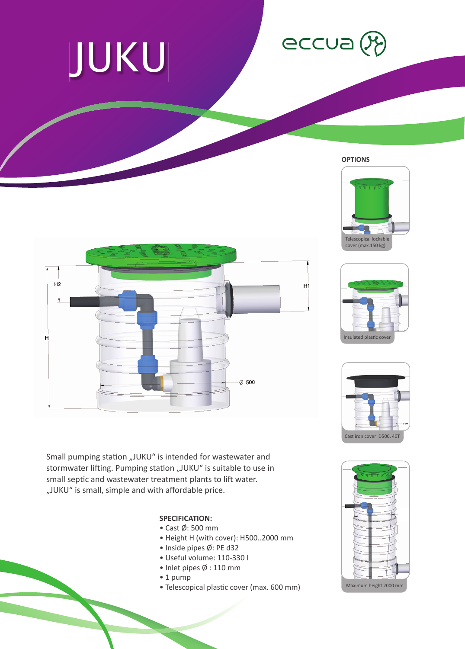## JUKU

## eccua (X)

**OPTIONS**







Small pumping station "JUKU" is intended for wastewater and stormwater lifting. Pumping station "JUKU" is suitable to use in small septic and wastewater treatment plants to lift water. "JUKU" is small, simple and with affordable price.

## **SPECIFICATION:**

- Cast Ø: 500 mm
- Height H (with cover): H500..2000 mm
- Inside pipes Ø: PE d32
- Useful volume: 110-330 l
- Inlet pipes Ø : 110 mm
- 1 pump
- Telescopical plastic cover (max. 600 mm)



 $H<sub>2</sub>$ H1 H  $\emptyset$  500